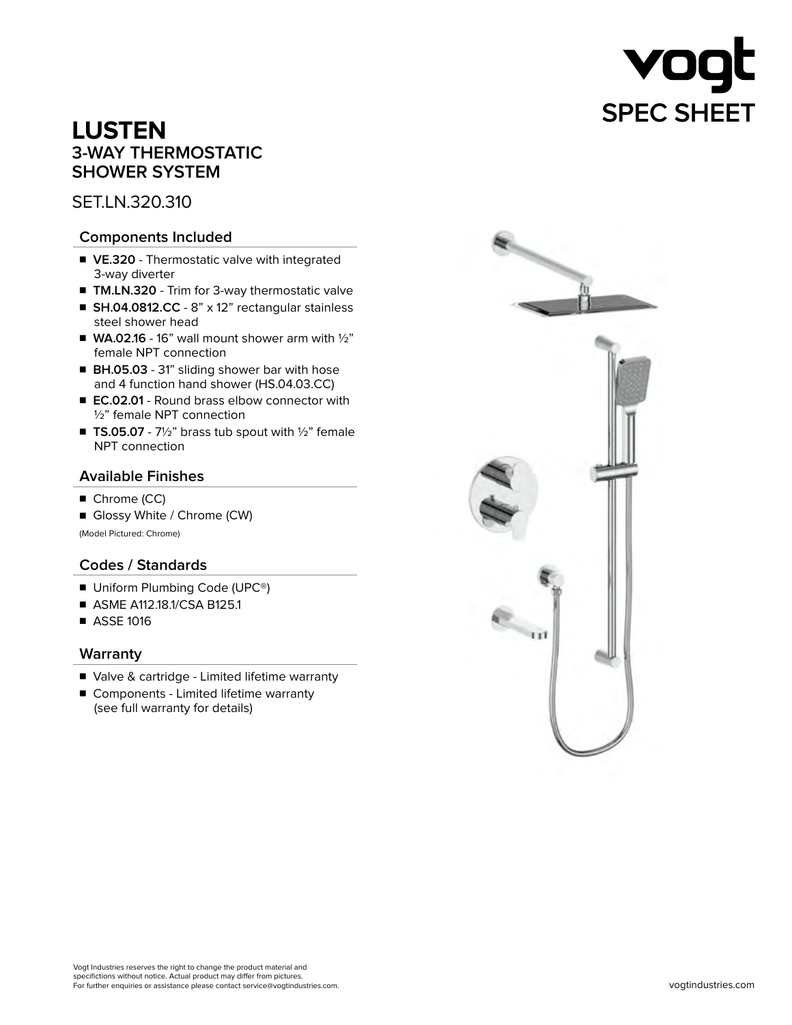

# **LUSTEN 3-WAY THERMOSTATIC SHOWER SYSTEM**

SET.LN.320.310

## **Components Included**

- VE.320 Thermostatic valve with integrated 3-way diverter
- **TM.LN.320** Trim for 3-way thermostatic valve
- **SH.04.0812.CC** 8" x 12" rectangular stainless steel shower head
- $\blacksquare$  **WA.02.16** 16" wall mount shower arm with  $\frac{1}{2}$ " female NPT connection
- **BH.05.03** 31" sliding shower bar with hose and 4 function hand shower (HS.04.03.CC)
- **EC.02.01** Round brass elbow connector with ½" female NPT connection
- **TS.05.07** 7½" brass tub spout with ½" female NPT connection

## **Available Finishes**

- Chrome (CC)
- Glossy White / Chrome (CW)

(Model Pictured: Chrome)

## **Codes / Standards**

- Uniform Plumbing Code (UPC<sup>®</sup>)
- ASME A112.18.1/CSA B125.1
- ASSE 1016

## **Warranty**

- Valve & cartridge Limited lifetime warranty
- Components Limited lifetime warranty (see full warranty for details)

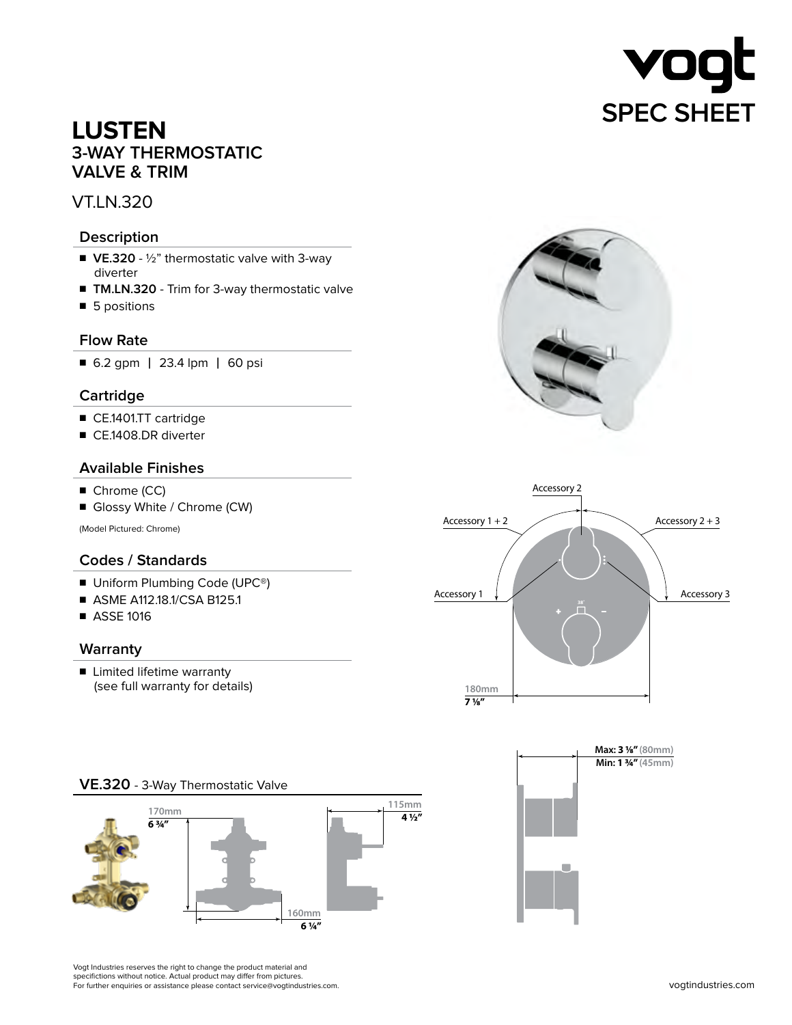

## **LUSTEN 3-WAY THERMOSTATIC VALVE & TRIM**

## VT.LN.320

#### **Description**

- VE.320 ½" thermostatic valve with 3-way diverter
- **TM.LN.320** Trim for 3-way thermostatic valve
- 5 positions

#### **Flow Rate**

■ 6.2 gpm | 23.4 lpm | 60 psi

## **Cartridge**

- CE.1401.TT cartridge
- CE.1408.DR diverter

#### **Available Finishes**

- Chrome (CC)
- Glossy White / Chrome (CW)

(Model Pictured: Chrome)

## **Codes / Standards**

- Uniform Plumbing Code (UPC<sup>®</sup>)
- ASME A112.18.1/CSA B125.1
- ASSE 1016

#### **Warranty**

■ Limited lifetime warranty (see full warranty for details)









Vogt Industries reserves the right to change the product material and specifictions without notice. Actual product may differ from pictures. For further enquiries or assistance please contact service@vogtindustries.com.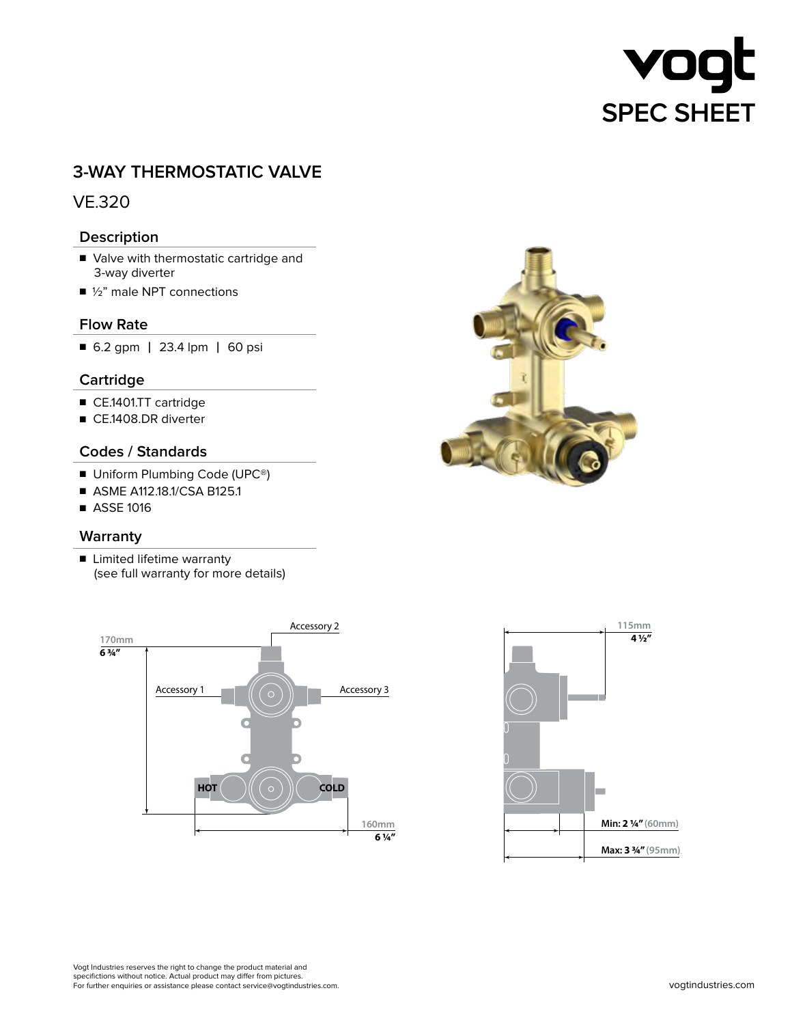# VO **SPEC SHEET**

## **3-WAY THERMOSTATIC VALVE**

## VE.320

## **Description**

- Valve with thermostatic cartridge and 3-way diverter
- 1/2" male NPT connections

## **Flow Rate**

■ 6.2 gpm | 23.4 lpm | 60 psi

## **Cartridge**

- CE.1401.TT cartridge
- CE.1408.DR diverter

## **Codes / Standards**

- Uniform Plumbing Code (UPC<sup>®</sup>)
- ASME A112.18.1/CSA B125.1
- ASSE 1016

## **Warranty**

■ Limited lifetime warranty (see full warranty for more details)







Vogt Industries reserves the right to change the product material and specifictions without notice. Actual product may differ from pictures. For further enquiries or assistance please contact service@vogtindustries.com.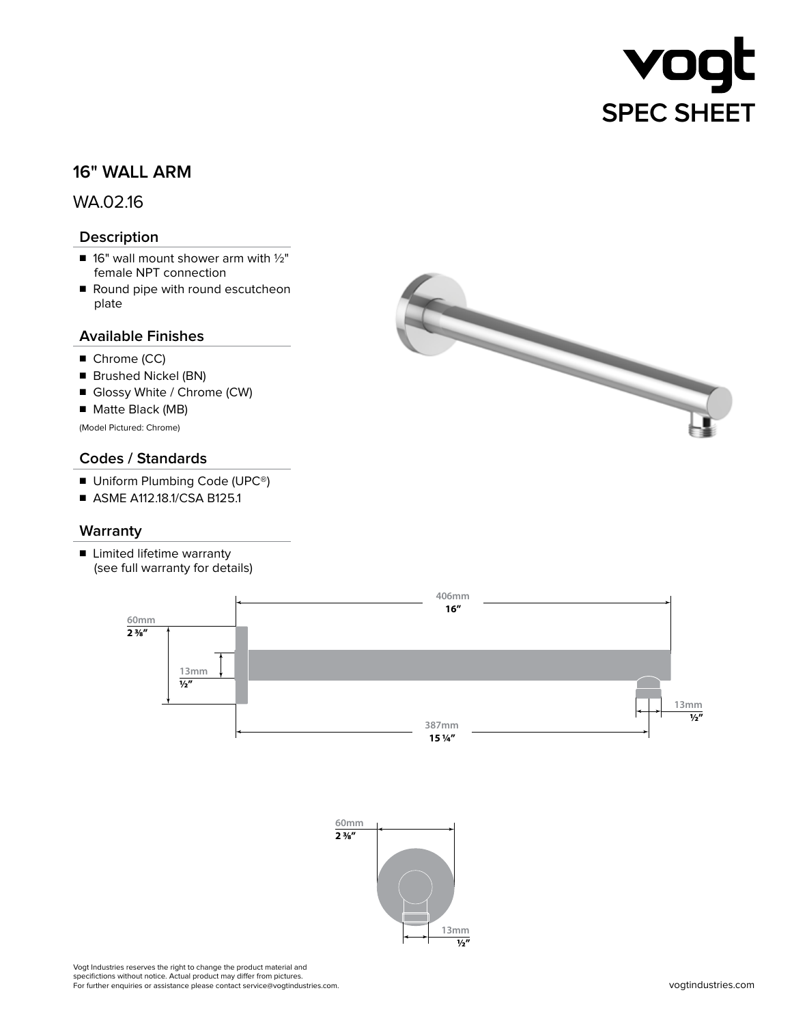

## **16" WALL ARM**

## WA.02.16

## **Description**

- $\blacksquare$  16" wall mount shower arm with  $1/2$ " female NPT connection
- Round pipe with round escutcheon plate

## **Available Finishes**

- Chrome (CC)
- Brushed Nickel (BN)
- Glossy White / Chrome (CW)
- Matte Black (MB)

(Model Pictured: Chrome)

#### **Codes / Standards**

- Uniform Plumbing Code (UPC<sup>®</sup>)
- ASME A112.18.1/CSA B125.1

#### **Warranty**

■ Limited lifetime warranty (see full warranty for details)







Vogt Industries reserves the right to change the product material and specifictions without notice. Actual product may differ from pictures. For further enquiries or assistance please contact service@vogtindustries.com.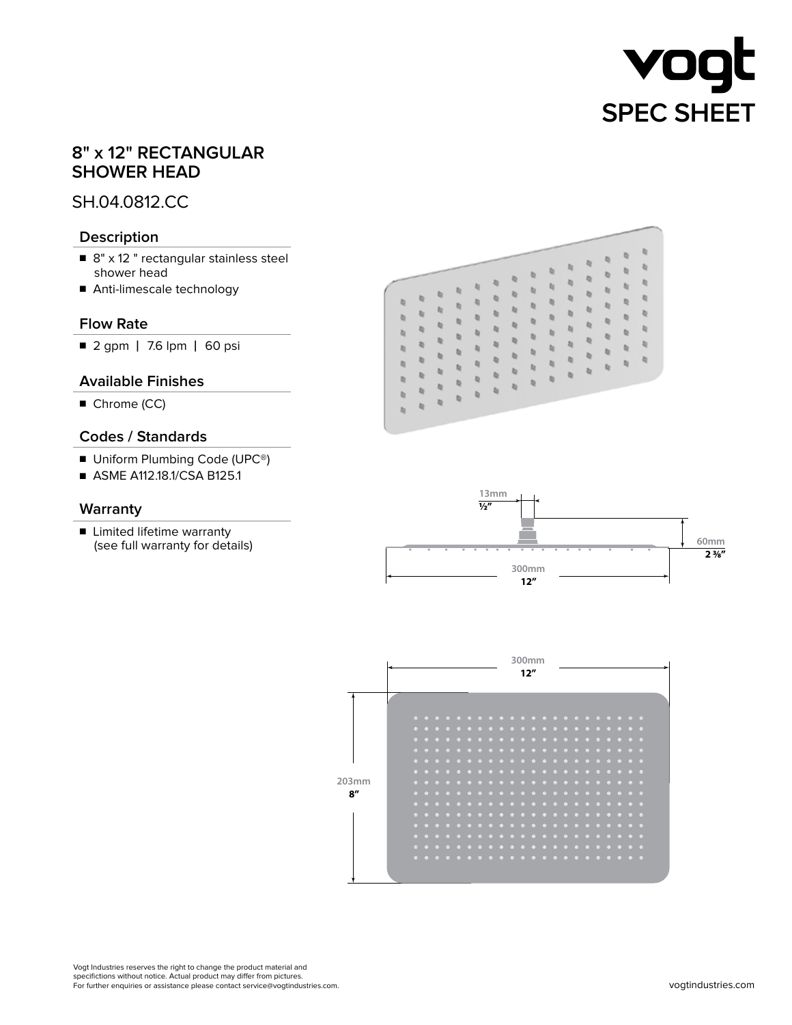

## **8" x 12" RECTANGULAR SHOWER HEAD**

## SH.04.0812.CC

## **Description**

- 8" x 12 " rectangular stainless steel shower head
- Anti-limescale technology

## **Flow Rate**

■ 2 gpm | 7.6 lpm | 60 psi

## **Available Finishes**

■ Chrome (CC)

## **Codes / Standards**

- Uniform Plumbing Code (UPC<sup>®</sup>)
- ASME A112.18.1/CSA B125.1

#### **Warranty**





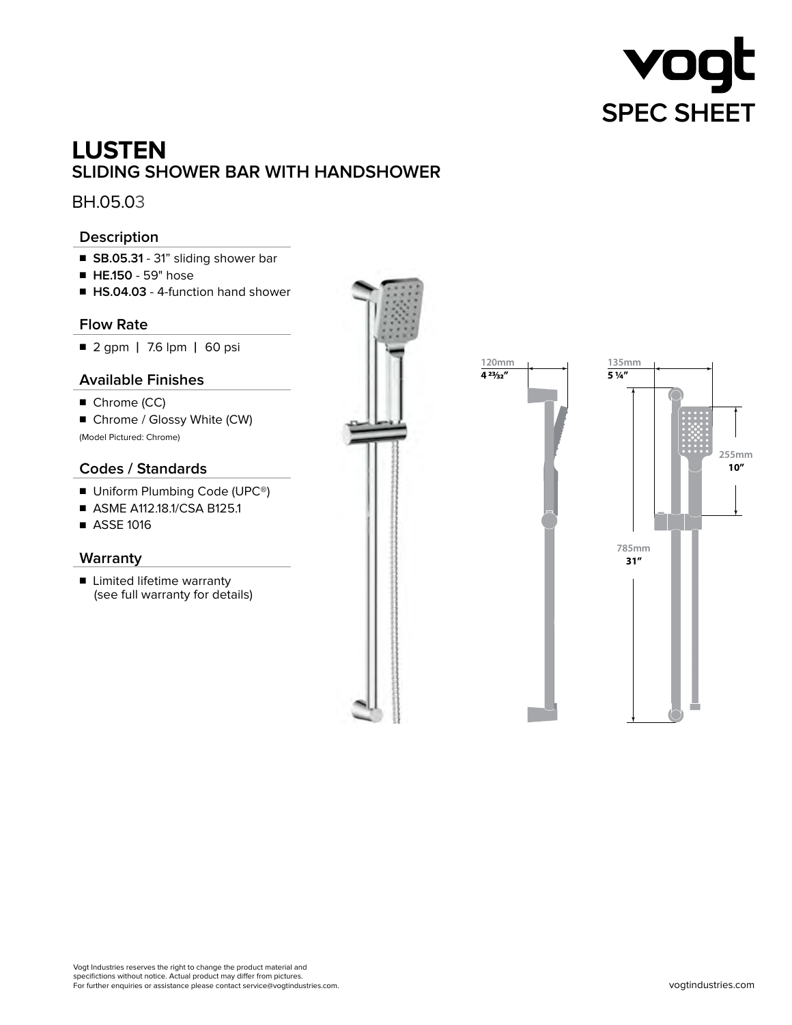

# **LUSTEN SLIDING SHOWER BAR WITH HANDSHOWER**

BH.05.03

## **Description**

- **SB.05.31** 31" sliding shower bar
- ■ **HE.150** 59" hose
- **HS.04.03** 4-function hand shower

## **Flow Rate**

■ 2 gpm | 7.6 lpm | 60 psi

## **Available Finishes**

- Chrome (CC)
- Chrome / Glossy White (CW) (Model Pictured: Chrome)

## **Codes / Standards**

- Uniform Plumbing Code (UPC<sup>®</sup>)
- ASME A112.18.1/CSA B125.1
- ASSE 1016

## **Warranty**

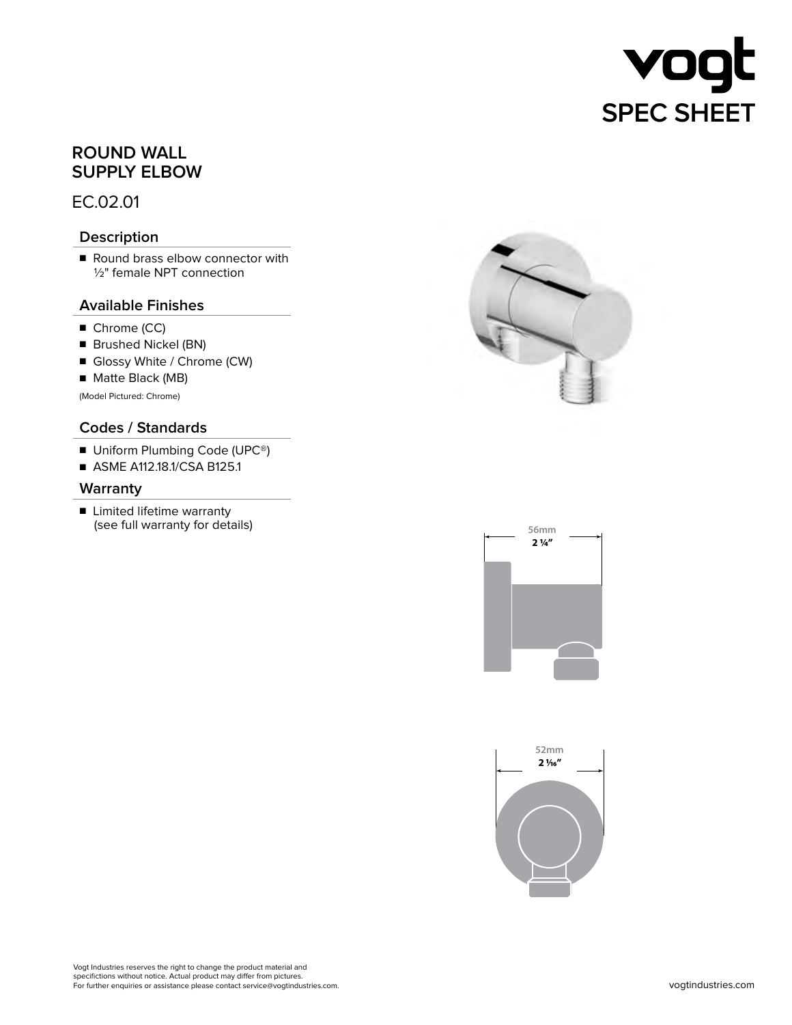

## **ROUND WALL SUPPLY ELBOW**

EC.02.01

## **Description**

■ Round brass elbow connector with 1/2" female NPT connection

## **Available Finishes**

- Chrome (CC)
- Brushed Nickel (BN)
- Glossy White / Chrome (CW)
- Matte Black (MB)

(Model Pictured: Chrome)

## **Codes / Standards**

- Uniform Plumbing Code (UPC<sup>®</sup>)
- ASME A112.18.1/CSA B125.1

#### **Warranty**